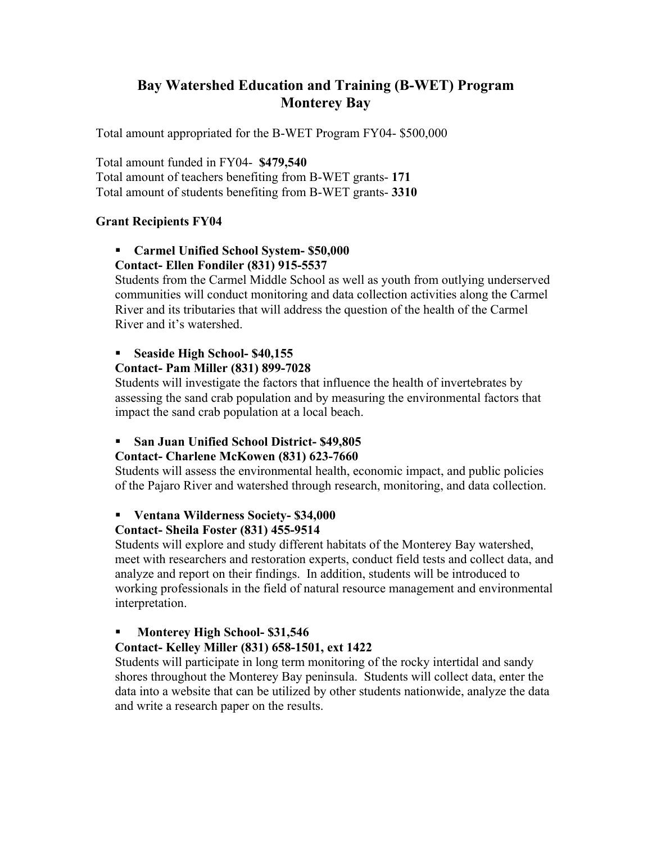## Bay Watershed Education and Training (B-WET) Program Monterey Bay

Total amount appropriated for the B-WET Program FY04- \$500,000

Total amount funded in FY04- \$479,540 Total amount of teachers benefiting from B-WET grants- 171 Total amount of students benefiting from B-WET grants- 3310

#### Grant Recipients FY04

## Carmel Unified School System- \$50,000 Contact- Ellen Fondiler (831) 915-5537

Students from the Carmel Middle School as well as youth from outlying underserved communities will conduct monitoring and data collection activities along the Carmel River and its tributaries that will address the question of the health of the Carmel River and it's watershed.

### Seaside High School- \$40,155

#### Contact- Pam Miller (831) 899-7028

Students will investigate the factors that influence the health of invertebrates by assessing the sand crab population and by measuring the environmental factors that impact the sand crab population at a local beach.

## San Juan Unified School District- \$49,805

## Contact- Charlene McKowen (831) 623-7660

Students will assess the environmental health, economic impact, and public policies of the Pajaro River and watershed through research, monitoring, and data collection.

# Ventana Wilderness Society- \$34,000

## Contact- Sheila Foster (831) 455-9514

Students will explore and study different habitats of the Monterey Bay watershed, meet with researchers and restoration experts, conduct field tests and collect data, and analyze and report on their findings. In addition, students will be introduced to working professionals in the field of natural resource management and environmental interpretation.

#### **Monterey High School- \$31,546**

#### Contact- Kelley Miller (831) 658-1501, ext 1422

Students will participate in long term monitoring of the rocky intertidal and sandy shores throughout the Monterey Bay peninsula. Students will collect data, enter the data into a website that can be utilized by other students nationwide, analyze the data and write a research paper on the results.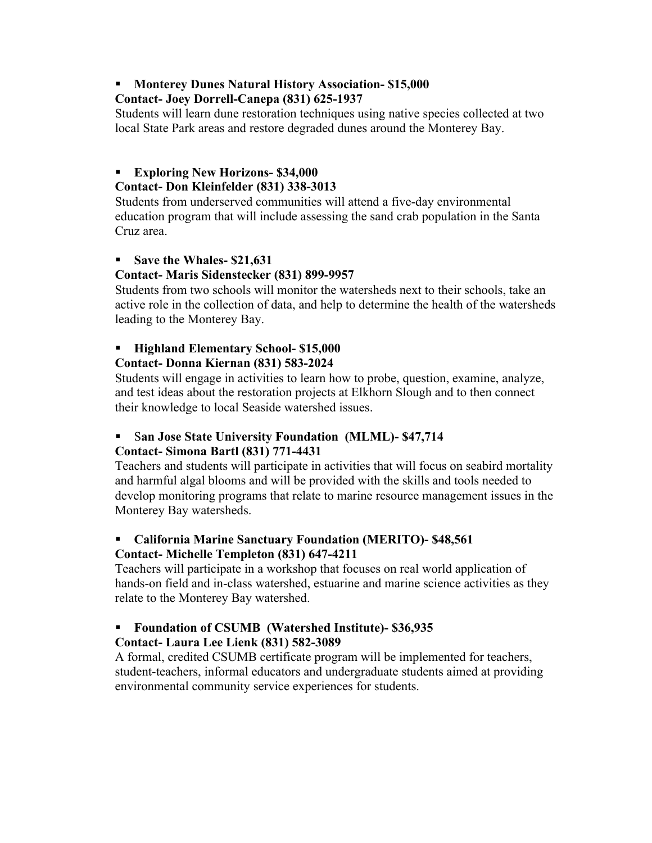#### **Monterey Dunes Natural History Association- \$15,000**

#### Contact- Joey Dorrell-Canepa (831) 625-1937

Students will learn dune restoration techniques using native species collected at two local State Park areas and restore degraded dunes around the Monterey Bay.

## Exploring New Horizons- \$34,000

#### Contact- Don Kleinfelder (831) 338-3013

Students from underserved communities will attend a five-day environmental education program that will include assessing the sand crab population in the Santa Cruz area.

#### Save the Whales- \$21,631

#### Contact- Maris Sidenstecker (831) 899-9957

Students from two schools will monitor the watersheds next to their schools, take an active role in the collection of data, and help to determine the health of the watersheds leading to the Monterey Bay.

## **Highland Elementary School- \$15,000**

#### Contact- Donna Kiernan (831) 583-2024

Students will engage in activities to learn how to probe, question, examine, analyze, and test ideas about the restoration projects at Elkhorn Slough and to then connect their knowledge to local Seaside watershed issues.

#### San Jose State University Foundation (MLML)- \$47,714 Contact- Simona Bartl (831) 771-4431

Teachers and students will participate in activities that will focus on seabird mortality and harmful algal blooms and will be provided with the skills and tools needed to develop monitoring programs that relate to marine resource management issues in the Monterey Bay watersheds.

#### California Marine Sanctuary Foundation (MERITO)- \$48,561 Contact- Michelle Templeton (831) 647-4211

Teachers will participate in a workshop that focuses on real world application of hands-on field and in-class watershed, estuarine and marine science activities as they relate to the Monterey Bay watershed.

#### Foundation of CSUMB (Watershed Institute)- \$36,935 Contact- Laura Lee Lienk (831) 582-3089

A formal, credited CSUMB certificate program will be implemented for teachers, student-teachers, informal educators and undergraduate students aimed at providing environmental community service experiences for students.